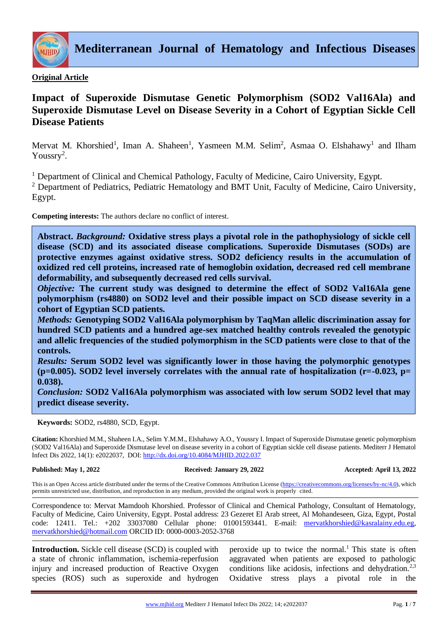

**Mediterranean Journal of Hematology and Infectious Diseases**

# **Original Article**

# **Impact of Superoxide Dismutase Genetic Polymorphism (SOD2 Val16Ala) and Superoxide Dismutase Level on Disease Severity in a Cohort of Egyptian Sickle Cell Disease Patients**

Mervat M. Khorshied<sup>1</sup>, Iman A. Shaheen<sup>1</sup>, Yasmeen M.M. Selim<sup>2</sup>, Asmaa O. Elshahawy<sup>1</sup> and Ilham Youssry<sup>2</sup>.

<sup>1</sup> Department of Clinical and Chemical Pathology, Faculty of Medicine, Cairo University, Egypt.

<sup>2</sup> Department of Pediatrics, Pediatric Hematology and BMT Unit, Faculty of Medicine, Cairo University, Egypt.

**Competing interests:** The authors declare no conflict of interest.

**Abstract.** *Background:* **Oxidative stress plays a pivotal role in the pathophysiology of sickle cell disease (SCD) and its associated disease complications. Superoxide Dismutases (SODs) are protective enzymes against oxidative stress. SOD2 deficiency results in the accumulation of oxidized red cell proteins, increased rate of hemoglobin oxidation, decreased red cell membrane deformability, and subsequently decreased red cells survival.** 

*Objective:* **The current study was designed to determine the effect of SOD2 Val16Ala gene polymorphism (rs4880) on SOD2 level and their possible impact on SCD disease severity in a cohort of Egyptian SCD patients.** 

*Methods:* **Genotyping SOD2 Val16Ala polymorphism by TaqMan allelic discrimination assay for hundred SCD patients and a hundred age-sex matched healthy controls revealed the genotypic and allelic frequencies of the studied polymorphism in the SCD patients were close to that of the controls.** 

*Results:* **Serum SOD2 level was significantly lower in those having the polymorphic genotypes (p=0.005). SOD2 level inversely correlates with the annual rate of hospitalization (r=-0.023, p= 0.038).** 

*Conclusion:* **SOD2 Val16Ala polymorphism was associated with low serum SOD2 level that may predict disease severity.**

**Keywords:** SOD2, rs4880, SCD, Egypt.

**Citation:** Khorshied M.M., Shaheen I.A., Selim Y.M.M., Elshahawy A.O., Youssry I. Impact of Superoxide Dismutase genetic polymorphism (SOD2 Val16Ala) and Superoxide Dismutase level on disease severity in a cohort of Egyptian sickle cell disease patients. Mediterr J Hematol Infect Dis 2022, 14(1): e2022037, DOI[: http://dx.doi.org/10.4084/MJHID.2022.037](http://dx.doi.org/10.4084/MJHID.2022.037)

#### **Published: May 1, 2022 Received: January 29, 2022 Accepted: April 13, 2022**

This is an Open Access article distributed under the terms of the Creative Commons Attribution License [\(https://creativecommons.org/licenses/by-nc/4.0\)](https://creativecommons.org/licenses/by-nc/4.0), which permits unrestricted use, distribution, and reproduction in any medium, provided the original work is properly cited.

Correspondence to: Mervat Mamdooh Khorshied. Professor of Clinical and Chemical Pathology, Consultant of Hematology, Faculty of Medicine, Cairo University, Egypt. Postal address: 23 Gezeret El Arab street, Al Mohandeseen, Giza, Egypt, Postal code: 12411. Tel.: +202 33037080 Cellular phone: 01001593441. E-mail: mervatkhorshied@kasralainy.edu.eg, [mervatkhorshied@hotmail.com](mailto:mervatkhorshied@hotmail.com) ORCID ID: 0000-0003-2052-3768

**Introduction.** Sickle cell disease (SCD) is coupled with a state of chronic inflammation, ischemia-reperfusion injury and increased production of Reactive Oxygen species (ROS) such as superoxide and hydrogen

peroxide up to twice the normal.<sup>1</sup> This state is often aggravated when patients are exposed to pathologic conditions like acidosis, infections and dehydration.<sup>2,3</sup> Oxidative stress plays a pivotal role in the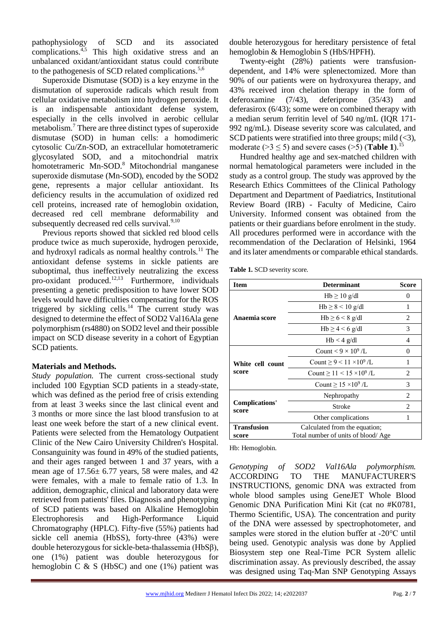pathophysiology of SCD and its associated complications.4,5 This high oxidative stress and an unbalanced oxidant/antioxidant status could contribute to the pathogenesis of SCD related complications.<sup>5,6</sup>

Superoxide Dismutase (SOD) is a key enzyme in the dismutation of superoxide radicals which result from cellular oxidative metabolism into hydrogen peroxide. It is an indispensable antioxidant defense system, especially in the cells involved in aerobic cellular metabolism.<sup>7</sup> There are three distinct types of superoxide dismutase (SOD) in human cells: a homodimeric cytosolic Cu/Zn-SOD, an extracellular homotetrameric glycosylated SOD, and a mitochondrial matrix homotetrameric Mn-SOD.<sup>8</sup> Mitochondrial manganese superoxide dismutase (Mn-SOD), encoded by the SOD2 gene, represents a major cellular antioxidant. Its deficiency results in the accumulation of oxidized red cell proteins, increased rate of hemoglobin oxidation, decreased red cell membrane deformability and subsequently decreased red cells survival.<sup>9,10</sup>

Previous reports showed that sickled red blood cells produce twice as much superoxide, hydrogen peroxide, and hydroxyl radicals as normal healthy controls.<sup>11</sup> The antioxidant defense systems in sickle patients are suboptimal, thus ineffectively neutralizing the excess pro-oxidant produced.12,13 Furthermore, individuals presenting a genetic predisposition to have lower SOD levels would have difficulties compensating for the ROS triggered by sickling cells.<sup>14</sup> The current study was designed to determine the effect of SOD2 Val16Ala gene polymorphism (rs4880) on SOD2 level and their possible impact on SCD disease severity in a cohort of Egyptian SCD patients.

# **Materials and Methods.**

*Study population.* The current cross-sectional study included 100 Egyptian SCD patients in a steady-state, which was defined as the period free of crisis extending from at least 3 weeks since the last clinical event and 3 months or more since the last blood transfusion to at least one week before the start of a new clinical event. Patients were selected from the Hematology Outpatient Clinic of the New Cairo University Children's Hospital. Consanguinity was found in 49% of the studied patients, and their ages ranged between 1 and 37 years, with a mean age of  $17.56 \pm 6.77$  years, 58 were males, and 42 were females, with a male to female ratio of 1.3. In addition, demographic, clinical and laboratory data were retrieved from patients' files. Diagnosis and phenotyping of SCD patients was based on Alkaline Hemoglobin Electrophoresis and High-Performance Liquid Chromatography (HPLC). Fifty-five (55%) patients had sickle cell anemia (HbSS), forty-three (43%) were double heterozygous for sickle-beta-thalassemia (HbSβ), one (1%) patient was double heterozygous for hemoglobin C  $& S$  (HbSC) and one (1%) patient was

double heterozygous for hereditary persistence of fetal hemoglobin & Hemoglobin S (HbS/HPFH).

Twenty-eight (28%) patients were transfusiondependent, and 14% were splenectomized. More than 90% of our patients were on hydroxyurea therapy, and 43% received iron chelation therapy in the form of deferoxamine (7/43), deferiprone (35/43) and deferasirox (6/43); some were on combined therapy with a median serum ferritin level of 540 ng/mL (IQR 171- 992 ng/mL). Disease severity score was calculated, and SCD patients were stratified into three groups; mild  $(\leq 3)$ , moderate ( $>3 \leq 5$ ) and severe cases ( $>5$ ) (**Table 1**).<sup>15</sup>

Hundred healthy age and sex-matched children with normal hematological parameters were included in the study as a control group. The study was approved by the Research Ethics Committees of the Clinical Pathology Department and Department of Paediatrics, Institutional Review Board (IRB) - Faculty of Medicine, Cairo University. Informed consent was obtained from the patients or their guardians before enrolment in the study. All procedures performed were in accordance with the recommendation of the Declaration of Helsinki, 1964 and its later amendments or comparable ethical standards.

**Table 1.** SCD severity score.

| Item                           | <b>Determinant</b>                        | <b>Score</b> |  |
|--------------------------------|-------------------------------------------|--------------|--|
| Anaemia score                  | $Hb \ge 10$ g/dl                          | 0            |  |
|                                | $Hb \ge 8 < 10$ g/dl                      | 1            |  |
|                                | $Hb \ge 6 < 8$ g/dl                       | 2            |  |
|                                | $Hb \ge 4 < 6$ g/dl                       | 3            |  |
|                                | $Hb < 4$ g/dl                             | 4            |  |
| White cell count<br>score      | Count $< 9 \times 10^9$ /L                | 0            |  |
|                                | Count $\geq 9 < 11 \times 10^9$ /L        | 1            |  |
|                                | Count $\geq$ 11 < 15 × 10 <sup>9</sup> /L | 2            |  |
|                                | Count $> 15 \times 10^9$ /L               | 3            |  |
| <b>Complications'</b><br>score | Nephropathy                               | 2            |  |
|                                | Stroke                                    | 2            |  |
|                                | Other complications                       | 1            |  |
| <b>Transfusion</b>             | Calculated from the equation;             |              |  |
| score                          | Total number of units of blood/Age        |              |  |

Hb: Hemoglobin.

*Genotyping of SOD2 Val16Ala polymorphism.*  ACCORDING TO THE MANUFACTURER'S INSTRUCTIONS, genomic DNA was extracted from whole blood samples using GeneJET Whole Blood Genomic DNA Purification Mini Kit (cat no #K0781, Thermo Scientific, USA). The concentration and purity of the DNA were assessed by spectrophotometer, and samples were stored in the elution buffer at -20°C until being used. Genotypic analysis was done by Applied Biosystem step one Real-Time PCR System allelic discrimination assay. As previously described, the assay was designed using Taq-Man SNP Genotyping Assays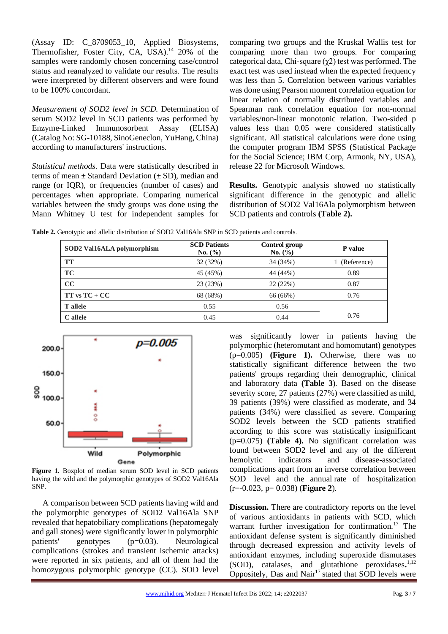(Assay ID: C\_8709053\_10, Applied Biosystems, Thermofisher, Foster City, CA, USA). $14$  20% of the samples were randomly chosen concerning case/control status and reanalyzed to validate our results. The results were interpreted by different observers and were found to be 100% concordant.

*Measurement of SOD2 level in SCD.* Determination of serum SOD2 level in SCD patients was performed by Enzyme-Linked Immunosorbent Assay (ELISA) (Catalog No: SG-10188, SinoGeneclon, YuHang, China) according to manufacturers' instructions.

*Statistical methods.* Data were statistically described in terms of mean  $\pm$  Standard Deviation ( $\pm$  SD), median and range (or IQR), or frequencies (number of cases) and percentages when appropriate. Comparing numerical variables between the study groups was done using the Mann Whitney U test for independent samples for comparing two groups and the Kruskal Wallis test for comparing more than two groups. For comparing categorical data, Chi-square  $(\chi^2)$  test was performed. The exact test was used instead when the expected frequency was less than 5. Correlation between various variables was done using Pearson moment correlation equation for linear relation of normally distributed variables and Spearman rank correlation equation for non-normal variables/non-linear monotonic relation. Two-sided p values less than 0.05 were considered statistically significant. All statistical calculations were done using the computer program IBM SPSS (Statistical Package for the Social Science; IBM Corp, Armonk, NY, USA), release 22 for Microsoft Windows.

**Results.** Genotypic analysis showed no statistically significant difference in the genotypic and allelic distribution of SOD2 Val16Ala polymorphism between SCD patients and controls **(Table 2).** 

**Table 2.** Genotypic and allelic distribution of SOD2 Val16Ala SNP in SCD patients and controls.

| SOD2 Val16ALA polymorphism | <b>SCD Patients</b><br>No. (%) | <b>Control group</b><br>No. (%) | P value     |
|----------------------------|--------------------------------|---------------------------------|-------------|
| TT                         | 32 (32%)                       | 34 (34%)                        | (Reference) |
| <b>TC</b>                  | 45 (45%)                       | 44 (44%)                        | 0.89        |
| CC                         | 23 (23%)                       | 22(22%)                         | 0.87        |
| $TT$ vs $TC + CC$          | 68 (68%)                       | 66 (66%)                        | 0.76        |
| <b>T</b> allele            | 0.55                           | 0.56                            |             |
| C allele                   | 0.45                           | 0.44                            | 0.76        |



**Figure 1.** Boxplot of median serum SOD level in SCD patients having the wild and the polymorphic genotypes of SOD2 Val16Ala SNP.

A comparison between SCD patients having wild and the polymorphic genotypes of SOD2 Val16Ala SNP revealed that hepatobiliary complications (hepatomegaly and gall stones) were significantly lower in polymorphic patients' genotypes (p=0.03). Neurological complications (strokes and transient ischemic attacks) were reported in six patients, and all of them had the homozygous polymorphic genotype (CC). SOD level

was significantly lower in patients having the polymorphic (heteromutant and homomutant) genotypes (p=0.005) **(Figure 1).** Otherwise, there was no statistically significant difference between the two patients' groups regarding their demographic, clinical and laboratory data **(Table 3**). Based on the disease severity score, 27 patients (27%) were classified as mild, 39 patients (39%) were classified as moderate, and 34 patients (34%) were classified as severe. Comparing SOD2 levels between the SCD patients stratified according to this score was statistically insignificant (p=0.075) **(Table 4).** No significant correlation was found between SOD2 level and any of the different hemolytic indicators and disease-associated complications apart from an inverse correlation between SOD level and the annual rate of hospitalization (r=-0.023, p= 0.038) (**Figure 2**).

**Discussion.** There are contradictory reports on the level of various antioxidants in patients with SCD, which warrant further investigation for confirmation.<sup>17</sup> The antioxidant defense system is significantly diminished through decreased expression and activity levels of antioxidant enzymes, including superoxide dismutases (SOD), catalases, and glutathione peroxidases**.** 1,12 Oppositely, Das and Nair<sup>17</sup> stated that SOD levels were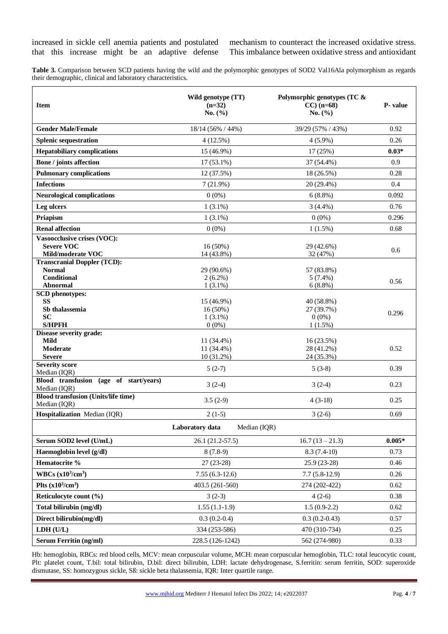mechanism to counteract the increased oxidative stress. This imbalance between oxidative stress and antioxidant

**Table 3.** Comparison between SCD patients having the wild and the polymorphic genotypes of SOD2 Val16Ala polymorphism as regards their demographic, clinical and laboratory characteristics.

| <b>Item</b>                                                | Wild genotype (TT)<br>$(n=32)$<br>No. $(\% )$ | Polymorphic genotypes (TC $\&$<br>$CC$ ) (n=68)<br>No. $(\% )$ | P-value  |
|------------------------------------------------------------|-----------------------------------------------|----------------------------------------------------------------|----------|
| <b>Gender Male/Female</b>                                  | 18/14 (56% / 44%)                             | 39/29 (57% / 43%)                                              | 0.92     |
| <b>Splenic sequestration</b>                               | 4(12.5%)                                      | $4(5.9\%)$                                                     | 0.26     |
| <b>Hepatobiliary complications</b>                         | 15 (46.9%)                                    | 17(25%)                                                        | $0.03*$  |
| <b>Bone / joints affection</b>                             | $17(53.1\%)$                                  | 37 (54.4%)                                                     | 0.9      |
| <b>Pulmonary complications</b>                             | 12 (37.5%)                                    | 18 (26.5%)                                                     | 0.28     |
| <b>Infections</b>                                          | 7(21.9%)                                      | $20(29.4\%)$                                                   | 0.4      |
| <b>Neurological complications</b>                          | $0(0\%)$                                      | $6(8.8\%)$                                                     | 0.092    |
| Leg ulcers                                                 | $1(3.1\%)$                                    | $3(4.4\%)$                                                     | 0.76     |
| Priapism                                                   | $1(3.1\%)$                                    | $0(0\%)$                                                       | 0.296    |
| <b>Renal affection</b>                                     | $0(0\%)$                                      | $1(1.5\%)$                                                     | 0.68     |
| Vasoocclusive crises (VOC):                                |                                               |                                                                |          |
| <b>Severe VOC</b><br>Mild/moderate VOC                     | 16(50%)<br>14 (43.8%)                         | 29 (42.6%)<br>32 (47%)                                         | 0.6      |
| <b>Transcranial Doppler (TCD):</b>                         |                                               |                                                                |          |
| <b>Normal</b>                                              | 29 (90.6%)                                    | 57 (83.8%)                                                     |          |
| <b>Conditional</b>                                         | $2(6.2\%)$                                    | $5(7.4\%)$                                                     | 0.56     |
| Abnormal<br><b>SCD</b> phenotypes:                         | $1(3.1\%)$                                    | $6(8.8\%)$                                                     |          |
| <b>SS</b>                                                  | 15 (46.9%)                                    | 40 (58.8%)                                                     |          |
| Sb thalassemia                                             | 16 (50%)                                      | 27 (39.7%)                                                     | 0.296    |
| <b>SC</b><br><b>S/HPFH</b>                                 | $1(3.1\%)$<br>$0(0\%)$                        | $0(0\%)$<br>$1(1.5\%)$                                         |          |
| Disease severity grade:                                    |                                               |                                                                |          |
| <b>Mild</b>                                                | 11 (34.4%)                                    | 16 (23.5%)                                                     |          |
| Moderate                                                   | 11 (34.4%)                                    | 28 (41.2%)                                                     | 0.52     |
| <b>Severe</b><br><b>Severity score</b>                     | 10 (31.2%)                                    | 24 (35.3%)                                                     |          |
| Median (IQR)                                               | $5(2-7)$                                      | $5(3-8)$                                                       | 0.39     |
| Blood transfusion (age of start/years)<br>Median (IQR)     | $3(2-4)$                                      | $3(2-4)$                                                       | 0.23     |
| <b>Blood transfusion (Units/life time)</b><br>Median (IQR) | $3.5(2-9)$                                    | $4(3-18)$                                                      | 0.25     |
| Hospitalization Median (IQR)                               | $2(1-5)$                                      | $3(2-6)$                                                       | 0.69     |
|                                                            | Laboratory data<br>Median (IQR)               |                                                                |          |
| Serum SOD2 level (U/mL)                                    | 26.1 (21.2-57.5)                              | $16.7(13-21.3)$                                                | $0.005*$ |
| Haemoglobin level (g/dl)                                   | $8(7.8-9)$                                    | $8.3(7.4-10)$                                                  | 0.73     |
| Hematocrite %                                              | $27(23-28)$                                   | $25.9(23-28)$                                                  | 0.46     |
| WBCs $(x10^3/cm^3)$                                        | $7.55(6.3-12.6)$                              | $7.7(5.8-12.9)$                                                | 0.26     |
| Plts $(x10^3/cm^3)$                                        | 403.5 (261-560)                               | 274 (202-422)                                                  | 0.62     |
| Reticulocyte count (%)                                     | $3(2-3)$                                      | $4(2-6)$                                                       | 0.38     |
| Total bilirubin (mg/dl)                                    | $1.55(1.1-1.9)$                               | $1.5(0.9-2.2)$                                                 | 0.62     |
| Direct bilirubin(mg/dl)                                    | $0.3(0.2-0.4)$                                | $0.3(0.2-0.43)$                                                | 0.57     |
| LDH (U/L)                                                  | 334 (253-586)                                 | 470 (310-734)                                                  | 0.25     |
| <b>Serum Ferritin (ng/ml)</b>                              | 228.5 (126-1242)                              | 562 (274-980)                                                  | 0.33     |

Hb: hemoglobin, RBCs: red blood cells, MCV: mean corpuscular volume, MCH: mean corpuscular hemoglobin, TLC: total leucocytic count, Plt: platelet count, T.bil: total bilirubin, D.bil: direct bilirubin, LDH: lactate dehydrogenase, S.ferritin: serum ferritin, SOD: superoxide dismutase, SS: homozygous sickle, Sß: sickle beta thalassemia, IQR: Inter quartile range.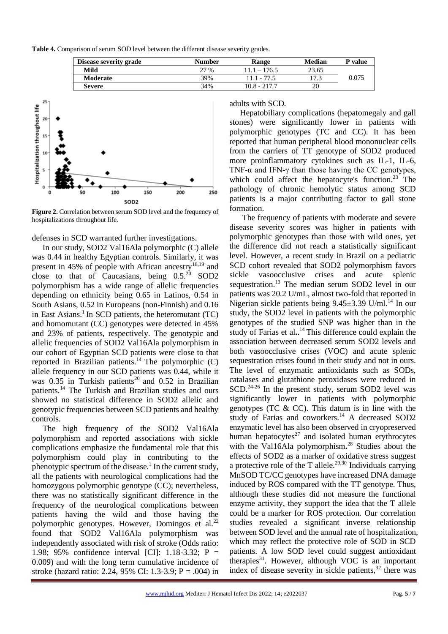**Table 4.** Comparison of serum SOD level between the different disease severity grades.

| Disease severity grade | Number | Range                 | Median | P value |
|------------------------|--------|-----------------------|--------|---------|
| Mild                   | 27 %   | 176.5<br>$\mathbf{1}$ | 23.65  |         |
| Moderate               | 39%    | 11 1 - 77             | די     | 0.075   |
| <b>Severe</b>          | 34%    | 10.8 - 217.7          | 20     |         |



**Figure 2.** Correlation between serum SOD level and the frequency of hospitalizations throughout life.

### defenses in SCD warranted further investigations.

In our study, SOD2 Val16Ala polymorphic (C) allele was 0.44 in healthy Egyptian controls. Similarly, it was present in 45% of people with African ancestry<sup>18,19</sup> and close to that of Caucasians, being  $0.5.^{20}$  SOD2 polymorphism has a wide range of allelic frequencies depending on ethnicity being 0.65 in Latinos, 0.54 in South Asians, 0.52 in Europeans (non-Finnish) and 0.16 in East Asians.<sup>1</sup> In SCD patients, the heteromutant  $(TC)$ and homomutant (CC) genotypes were detected in 45% and 23% of patients, respectively. The genotypic and allelic frequencies of SOD2 Val16Ala polymorphism in our cohort of Egyptian SCD patients were close to that reported in Brazilian patients.<sup>14</sup>The polymorphic (C) allele frequency in our SCD patients was 0.44, while it was  $0.35$  in Turkish patients<sup>20</sup> and  $0.52$  in Brazilian patients.<sup>14</sup> The Turkish and Brazilian studies and ours showed no statistical difference in SOD2 allelic and genotypic frequencies between SCD patients and healthy controls.

The high frequency of the SOD2 Val16Ala polymorphism and reported associations with sickle complications emphasize the fundamental role that this polymorphism could play in contributing to the phenotypic spectrum of the disease.<sup>1</sup> In the current study, all the patients with neurological complications had the homozygous polymorphic genotype (CC); nevertheless, there was no statistically significant difference in the frequency of the neurological complications between patients having the wild and those having the polymorphic genotypes. However, Domingos et al. $^{22}$ found that SOD2 Val16Ala polymorphism was independently associated with risk of stroke (Odds ratio: 1.98; 95% confidence interval [CI]: 1.18-3.32; P = 0.009) and with the long term cumulative incidence of stroke (hazard ratio: 2.24, 95% CI: 1.3-3.9; P = .004) in

adults with SCD.

Hepatobiliary complications (hepatomegaly and gall stones) were significantly lower in patients with polymorphic genotypes (TC and CC). It has been reported that human peripheral blood mononuclear cells from the carriers of TT genotype of SOD2 produced more proinflammatory cytokines such as IL-1, IL-6, TNF- $\alpha$  and IFN- $\gamma$  than those having the CC genotypes, which could affect the hepatocyte's function.<sup>23</sup> The pathology of chronic hemolytic status among SCD patients is a major contributing factor to gall stone formation.

The frequency of patients with moderate and severe disease severity scores was higher in patients with polymorphic genotypes than those with wild ones, yet the difference did not reach a statistically significant level. However, a recent study in Brazil on a pediatric SCD cohort revealed that SOD2 polymorphism favors sickle vasoocclusive crises and acute splenic sequestration.<sup>13</sup> The median serum SOD2 level in our patients was 20.2 U/mL, almost two-fold that reported in Nigerian sickle patients being  $9.45 \pm 3.39$  U/ml.<sup>14</sup> In our study, the SOD2 level in patients with the polymorphic genotypes of the studied SNP was higher than in the study of Farias et al**.**. <sup>14</sup> This difference could explain the association between decreased serum SOD2 levels and both vasoocclusive crises (VOC) and acute splenic sequestration crises found in their study and not in ours. The level of enzymatic antioxidants such as SODs, catalases and glutathione peroxidases were reduced in SCD.<sup>24-26</sup> In the present study, serum SOD2 level was significantly lower in patients with polymorphic genotypes (TC & CC). This datum is in line with the study of Farias and coworkers.<sup>14</sup> A decreased SOD2 enzymatic level has also been observed in cryopreserved human hepatocytes $^{27}$  and isolated human erythrocytes with the Val16Ala polymorphism**.** <sup>28</sup> Studies about the effects of SOD2 as a marker of oxidative stress suggest a protective role of the T allele.<sup>29,30</sup> Individuals carrying MnSOD TC/CC genotypes have increased DNA damage induced by ROS compared with the TT genotype. Thus, although these studies did not measure the functional enzyme activity, they support the idea that the T allele could be a marker for ROS protection. Our correlation studies revealed a significant inverse relationship between SOD level and the annual rate of hospitalization, which may reflect the protective role of SOD in SCD patients. A low SOD level could suggest antioxidant therapies $31$ . However, although VOC is an important index of disease severity in sickle patients, $32$  there was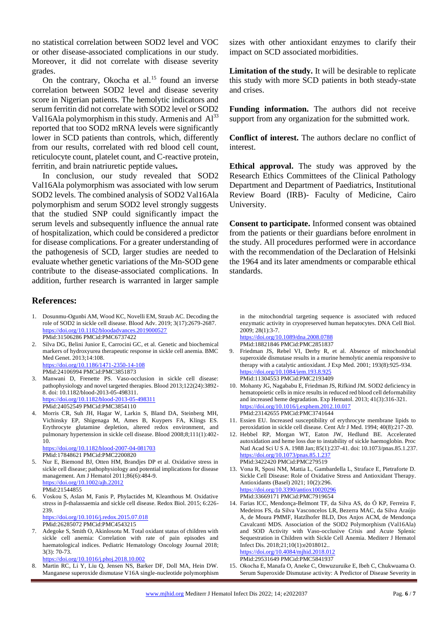no statistical correlation between SOD2 level and VOC or other disease-associated complications in our study. Moreover, it did not correlate with disease severity grades.

On the contrary, Okocha et al.<sup>15</sup> found an inverse correlation between SOD2 level and disease severity score in Nigerian patients. The hemolytic indicators and serum ferritin did not correlate with SOD2 level or SOD2 Val16Ala polymorphism in this study. Armenis and  $Al^{33}$ reported that too SOD2 mRNA levels were significantly lower in SCD patients than controls, which, differently from our results, correlated with red blood cell count, reticulocyte count, platelet count, and C-reactive protein, ferritin, and brain natriuretic peptide values*.*

In conclusion, our study revealed that SOD2 Val16Ala polymorphism was associated with low serum SOD2 levels. The combined analysis of SOD2 Val16Ala polymorphism and serum SOD2 level strongly suggests that the studied SNP could significantly impact the serum levels and subsequently influence the annual rate of hospitalization, which could be considered a predictor for disease complications. For a greater understanding of the pathogenesis of SCD, larger studies are needed to evaluate whether genetic variations of the Mn-SOD gene contribute to the disease-associated complications. In addition, further research is warranted in larger sample

# **References:**

- 1. Dosunmu-Ogunbi AM, Wood KC, Novelli EM, Straub AC. Decoding the role of SOD2 in sickle cell disease. Blood Adv. 2019; 3(17):2679-2687. <https://doi.org/10.1182/bloodadvances.2019000527> PMid:31506286 PMCid:PMC6737422
- 2. Silva DG, Belini Junior E, Carrocini GC, et al. Genetic and biochemical markers of hydroxyurea therapeutic response in sickle cell anemia. BMC Med Genet. 2013;14:108. <https://doi.org/10.1186/1471-2350-14-108> PMid:24106994 PMCid:PMC3851873
- 3. Manwani D, Frenette PS. Vaso-occlusion in sickle cell disease: pathophysiology and novel targeted therapies. Blood 2013;122(24):3892- 8. doi: 10.1182/blood-2013-05-498311. <https://doi.org/10.1182/blood-2013-05-498311> PMid:24052549 PMCid:PMC3854110
- 4. Morris CR, Suh JH, Hagar W, Larkin S, Bland DA, Steinberg MH, Vichinsky EP, Shigenaga M, Ames B, Kuypers FA, Klings ES. Erythrocyte glutamine depletion, altered redox environment, and pulmonary hypertension in sickle cell disease. Blood 2008;8;111(1):402- 10. <https://doi.org/10.1182/blood-2007-04-081703>

PMid:17848621 PMCid:PMC2200820

- 5. Nur E, Biemond BJ, Otten HM, Brandjes DP et al. Oxidative stress in sickle cell disease; pathophysiology and potential implications for disease management. Am J Hematol 2011;86(6):484-9. <https://doi.org/10.1002/ajh.22012> PMid:21544855
- 6. Voskou S, Aslan M, Fanis P, Phylactides M, Kleanthous M. Oxidative stress in β-thalassaemia and sickle cell disease. Redox Biol. 2015; 6:226- 239. <https://doi.org/10.1016/j.redox.2015.07.018>

PMid:26285072 PMCid:PMC4543215

7. Adegoke S, Smith O, Akinlosotu M. Total oxidant status of children with sickle cell anemia: Correlation with rate of pain episodes and haematological indices. Pediatric Hematology Oncology Journal 2018;  $3(3) \cdot 70 - 73$ 

<https://doi.org/10.1016/j.phoj.2018.10.002>

8. Martin RC, Li Y, Liu Q, Jensen NS, Barker DF, Doll MA, Hein DW. Manganese superoxide dismutase V16A single-nucleotide polymorphism sizes with other antioxidant enzymes to clarify their impact on SCD associated morbidities.

**Limitation of the study.** It will be desirable to replicate this study with more SCD patients in both steady-state and crises.

**Funding information.** The authors did not receive support from any organization for the submitted work.

**Conflict of interest.** The authors declare no conflict of interest.

**Ethical approval.** The study was approved by the Research Ethics Committees of the Clinical Pathology Department and Department of Paediatrics, Institutional Review Board (IRB)- Faculty of Medicine, Cairo University.

**Consent to participate.** Informed consent was obtained from the patients or their guardians before enrolment in the study. All procedures performed were in accordance with the recommendation of the Declaration of Helsinki the 1964 and its later amendments or comparable ethical standards.

in the mitochondrial targeting sequence is associated with reduced enzymatic activity in cryopreserved human hepatocytes. DNA Cell Biol. 2009; 28(1):3-7.

<https://doi.org/10.1089/dna.2008.0788> PMid:18821846 PMCid:PMC2851837

- 9. Friedman JS, Rebel VI, Derby R, et al. Absence of mitochondrial superoxide dismutase results in a murine hemolytic anemia responsive to therapy with a catalytic antioxidant. J Exp Med. 2001; 193(8):925-934. https://doi.org/10.1084/jem.193.8.92 PMid:11304553 PMCid:PMC2193409
- 10. Mohanty JG, Nagababu E, Friedman JS, Rifkind JM. SOD2 deficiency in hematopoietic cells in mice results in reduced red blood cell deformability and increased heme degradation. Exp Hematol. 2013; 41(3):316-321. <https://doi.org/10.1016/j.exphem.2012.10.017> PMid:23142655 PMCid:PMC3741644
- 11. Essien EU. Increased susceptibility of erythrocyte membrane lipids to peroxidation in sickle cell disease. Cent Afr J Med. 1994; 40(8):217-20.
- 12. Hebbel RP, Morgan WT, Eaton JW, Hedlund BE. Accelerated autoxidation and heme loss due to instability of sickle haemoglobin. Proc Natl Acad Sci U S A. 1988 Jan; 85(1):237-41. doi: 10.1073/pnas.85.1.237. <https://doi.org/10.1073/pnas.85.1.237> PMid:3422420 PMCid:PMC279519
- 13. Vona R, Sposi NM, Mattia L, Gambardella L, Straface E, Pietraforte D. Sickle Cell Disease: Role of Oxidative Stress and Antioxidant Therapy. Antioxidants (Basel) 2021; 10(2):296. <https://doi.org/10.3390/antiox10020296> PMid:33669171 PMCid:PMC7919654
- 14. Farias ICC, Mendonça-Belmont TF, da Silva AS, do Ó KP, Ferreira F, Medeiros FS, da Silva Vasconcelos LR, Bezerra MAC, da Silva Araújo A, de Moura PMMF, Hatzlhofer BLD, Dos Anjos ACM, de Mendonça Cavalcanti MDS. Association of the SOD2 Polymorphism (Val16Ala) and SOD Activity with Vaso-occlusive Crisis and Acute Splenic Sequestration in Children with Sickle Cell Anemia. Mediterr J Hematol Infect Dis. 2018;21;10(1):e2018012.. <https://doi.org/10.4084/mjhid.2018.012> PMid:29531649 PMCid:PMC5841937
- 15. Okocha E, Manafa O, Aneke C, Onwuzuruike E, Ibeh C, Chukwuama O. Serum Superoxide Dismutase activity: A Predictor of Disease Severity in